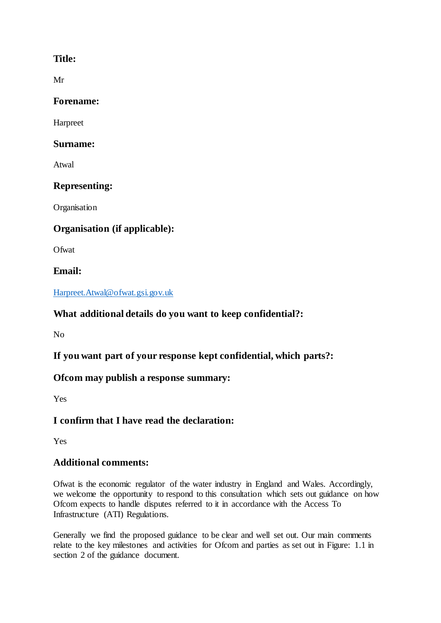### **Title:**

Mr

### **Forename:**

Harpreet

#### **Surname:**

Atwal

### **Representing:**

**Organisation** 

# **Organisation (if applicable):**

**Ofwat** 

### **Email:**

#### [Harpreet.Atwal@ofwat.gsi.gov.uk](mailto:Harpreet.Atwal@ofwat.gsi.gov.uk)

# **What additional details do you want to keep confidential?:**

No

# **If you want part of your response kept confidential, which parts?:**

# **Ofcom may publish a response summary:**

Yes

# **I confirm that I have read the declaration:**

Yes

### **Additional comments:**

Ofwat is the economic regulator of the water industry in England and Wales. Accordingly, we welcome the opportunity to respond to this consultation which sets out guidance on how Ofcom expects to handle disputes referred to it in accordance with the Access To Infrastructure (ATI) Regulations.

Generally we find the proposed guidance to be clear and well set out. Our main comments relate to the key milestones and activities for Ofcom and parties as set out in Figure: 1.1 in section 2 of the guidance document.